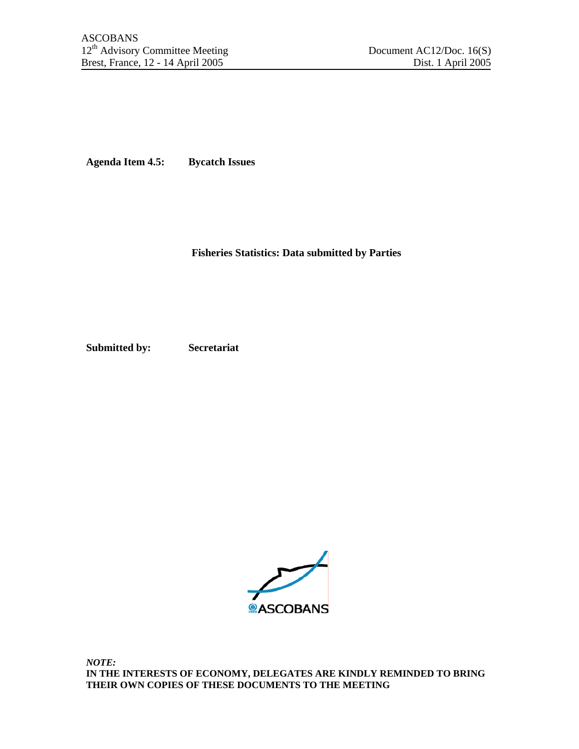**Agenda Item 4.5: Bycatch Issues** 

 **Fisheries Statistics: Data submitted by Parties** 

**Submitted by: Secretariat** 



*NOTE:*  **IN THE INTERESTS OF ECONOMY, DELEGATES ARE KINDLY REMINDED TO BRING THEIR OWN COPIES OF THESE DOCUMENTS TO THE MEETING**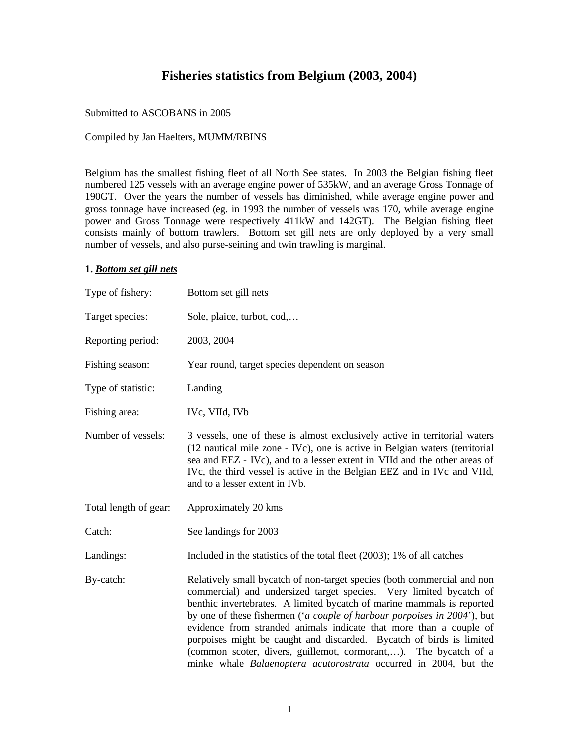## **Fisheries statistics from Belgium (2003, 2004)**

#### Submitted to ASCOBANS in 2005

### Compiled by Jan Haelters, MUMM/RBINS

Belgium has the smallest fishing fleet of all North See states. In 2003 the Belgian fishing fleet numbered 125 vessels with an average engine power of 535kW, and an average Gross Tonnage of 190GT. Over the years the number of vessels has diminished, while average engine power and gross tonnage have increased (eg. in 1993 the number of vessels was 170, while average engine power and Gross Tonnage were respectively 411kW and 142GT). The Belgian fishing fleet consists mainly of bottom trawlers. Bottom set gill nets are only deployed by a very small number of vessels, and also purse-seining and twin trawling is marginal.

#### **1.** *Bottom set gill nets*

| Type of fishery:      | Bottom set gill nets                                                                                                                                                                                                                                                                                                                                                                                                                                                                                                                                                                                       |  |  |  |  |
|-----------------------|------------------------------------------------------------------------------------------------------------------------------------------------------------------------------------------------------------------------------------------------------------------------------------------------------------------------------------------------------------------------------------------------------------------------------------------------------------------------------------------------------------------------------------------------------------------------------------------------------------|--|--|--|--|
| Target species:       | Sole, plaice, turbot, cod,                                                                                                                                                                                                                                                                                                                                                                                                                                                                                                                                                                                 |  |  |  |  |
| Reporting period:     | 2003, 2004                                                                                                                                                                                                                                                                                                                                                                                                                                                                                                                                                                                                 |  |  |  |  |
| Fishing season:       | Year round, target species dependent on season                                                                                                                                                                                                                                                                                                                                                                                                                                                                                                                                                             |  |  |  |  |
| Type of statistic:    | Landing                                                                                                                                                                                                                                                                                                                                                                                                                                                                                                                                                                                                    |  |  |  |  |
| Fishing area:         | IVc, VIId, IVb                                                                                                                                                                                                                                                                                                                                                                                                                                                                                                                                                                                             |  |  |  |  |
| Number of vessels:    | 3 vessels, one of these is almost exclusively active in territorial waters<br>(12 nautical mile zone - IVc), one is active in Belgian waters (territorial<br>sea and EEZ - IVc), and to a lesser extent in VIId and the other areas of<br>IVc, the third vessel is active in the Belgian EEZ and in IVc and VIId,<br>and to a lesser extent in IVb.                                                                                                                                                                                                                                                        |  |  |  |  |
| Total length of gear: | Approximately 20 kms                                                                                                                                                                                                                                                                                                                                                                                                                                                                                                                                                                                       |  |  |  |  |
| Catch:                | See landings for 2003                                                                                                                                                                                                                                                                                                                                                                                                                                                                                                                                                                                      |  |  |  |  |
| Landings:             | Included in the statistics of the total fleet (2003); 1% of all catches                                                                                                                                                                                                                                                                                                                                                                                                                                                                                                                                    |  |  |  |  |
| By-catch:             | Relatively small by catch of non-target species (both commercial and non<br>commercial) and undersized target species. Very limited bycatch of<br>benthic invertebrates. A limited bycatch of marine mammals is reported<br>by one of these fishermen (' <i>a couple of harbour porpoises in 2004</i> '), but<br>evidence from stranded animals indicate that more than a couple of<br>porpoises might be caught and discarded. Bycatch of birds is limited<br>(common scoter, divers, guillemot, cormorant,). The bycatch of a<br>minke whale <i>Balaenoptera acutorostrata</i> occurred in 2004, but the |  |  |  |  |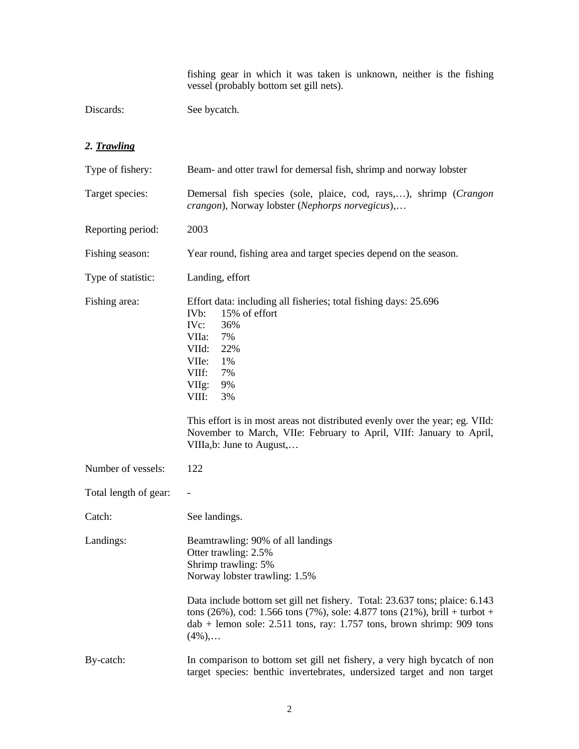fishing gear in which it was taken is unknown, neither is the fishing vessel (probably bottom set gill nets).

Discards: See bycatch.

### *2. Trawling*

| Type of fishery:      | Beam- and otter trawl for demersal fish, shrimp and norway lobster                                                                                                                                                                                                                                                                                                                                   |  |  |  |  |
|-----------------------|------------------------------------------------------------------------------------------------------------------------------------------------------------------------------------------------------------------------------------------------------------------------------------------------------------------------------------------------------------------------------------------------------|--|--|--|--|
| Target species:       | Demersal fish species (sole, plaice, cod, rays,), shrimp (Crangon<br>crangon), Norway lobster (Nephorps norvegicus),                                                                                                                                                                                                                                                                                 |  |  |  |  |
| Reporting period:     | 2003                                                                                                                                                                                                                                                                                                                                                                                                 |  |  |  |  |
| Fishing season:       | Year round, fishing area and target species depend on the season.                                                                                                                                                                                                                                                                                                                                    |  |  |  |  |
| Type of statistic:    | Landing, effort                                                                                                                                                                                                                                                                                                                                                                                      |  |  |  |  |
| Fishing area:         | Effort data: including all fisheries; total fishing days: 25.696<br>IV <sub>b</sub> :<br>15% of effort<br>IVc:<br>36%<br>VIIa:<br>7%<br>VIId:<br>22%<br>VIIe:<br>1%<br>VIIf:<br>7%<br>VIIg:<br>9%<br>VIII:<br>3%<br>This effort is in most areas not distributed evenly over the year; eg. VIId:<br>November to March, VIIe: February to April, VIIf: January to April,<br>VIIIa, b: June to August, |  |  |  |  |
| Number of vessels:    | 122                                                                                                                                                                                                                                                                                                                                                                                                  |  |  |  |  |
| Total length of gear: |                                                                                                                                                                                                                                                                                                                                                                                                      |  |  |  |  |
| Catch:                | See landings.                                                                                                                                                                                                                                                                                                                                                                                        |  |  |  |  |
| Landings:             | Beamtrawling: 90% of all landings<br>Otter trawling: 2.5%<br>Shrimp trawling: 5%<br>Norway lobster trawling: 1.5%<br>Data include bottom set gill net fishery. Total: 23.637 tons; plaice: 6.143<br>tons (26%), cod: 1.566 tons (7%), sole: 4.877 tons (21%), brill + turbot +<br>$dab$ + lemon sole: 2.511 tons, ray: 1.757 tons, brown shrimp: 909 tons<br>$(4\%)$ ,                               |  |  |  |  |
| By-catch:             | In comparison to bottom set gill net fishery, a very high bycatch of non<br>target species: benthic invertebrates, undersized target and non target                                                                                                                                                                                                                                                  |  |  |  |  |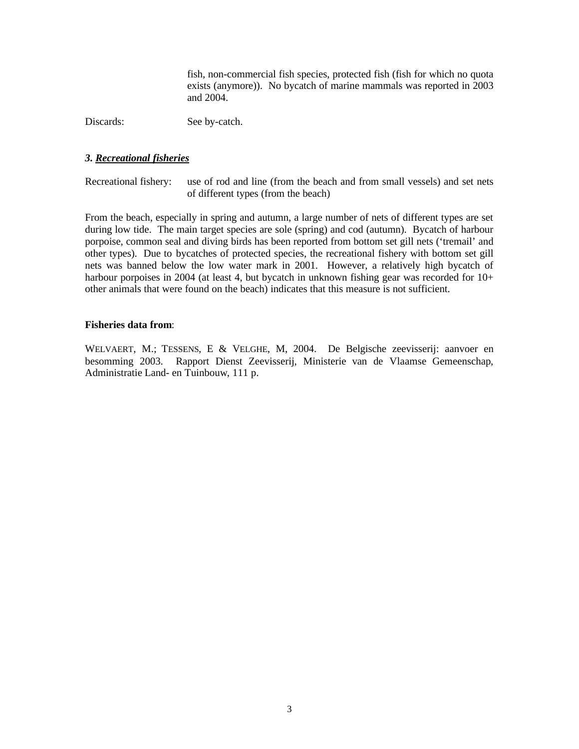fish, non-commercial fish species, protected fish (fish for which no quota exists (anymore)). No bycatch of marine mammals was reported in 2003 and 2004.

Discards: See by-catch.

### *3. Recreational fisheries*

Recreational fishery: use of rod and line (from the beach and from small vessels) and set nets of different types (from the beach)

From the beach, especially in spring and autumn, a large number of nets of different types are set during low tide. The main target species are sole (spring) and cod (autumn). Bycatch of harbour porpoise, common seal and diving birds has been reported from bottom set gill nets ('tremail' and other types). Due to bycatches of protected species, the recreational fishery with bottom set gill nets was banned below the low water mark in 2001. However, a relatively high bycatch of harbour porpoises in 2004 (at least 4, but bycatch in unknown fishing gear was recorded for 10+ other animals that were found on the beach) indicates that this measure is not sufficient.

### **Fisheries data from**:

WELVAERT, M.; TESSENS, E & VELGHE, M, 2004. De Belgische zeevisserij: aanvoer en besomming 2003. Rapport Dienst Zeevisserij, Ministerie van de Vlaamse Gemeenschap, Administratie Land- en Tuinbouw, 111 p.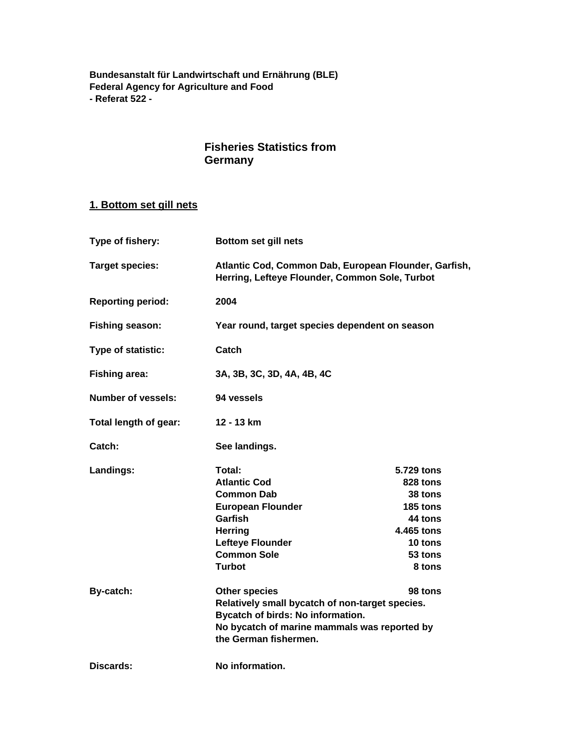**Bundesanstalt für Landwirtschaft und Ernährung (BLE) Federal Agency for Agriculture and Food - Referat 522 -** 

## **Fisheries Statistics from Germany**

## **1. Bottom set gill nets**

| Type of fishery:          | Bottom set gill nets                                                                                    |                                                |  |  |  |  |
|---------------------------|---------------------------------------------------------------------------------------------------------|------------------------------------------------|--|--|--|--|
| <b>Target species:</b>    | Atlantic Cod, Common Dab, European Flounder, Garfish,<br>Herring, Lefteye Flounder, Common Sole, Turbot |                                                |  |  |  |  |
| <b>Reporting period:</b>  | 2004                                                                                                    |                                                |  |  |  |  |
| <b>Fishing season:</b>    |                                                                                                         | Year round, target species dependent on season |  |  |  |  |
| Type of statistic:        | Catch                                                                                                   |                                                |  |  |  |  |
| <b>Fishing area:</b>      | 3A, 3B, 3C, 3D, 4A, 4B, 4C                                                                              |                                                |  |  |  |  |
| <b>Number of vessels:</b> | 94 vessels                                                                                              |                                                |  |  |  |  |
| Total length of gear:     | 12 - 13 km                                                                                              |                                                |  |  |  |  |
| Catch:                    | See landings.                                                                                           |                                                |  |  |  |  |
| Landings:                 | Total:                                                                                                  | 5.729 tons                                     |  |  |  |  |
|                           | <b>Atlantic Cod</b>                                                                                     | 828 tons                                       |  |  |  |  |
|                           | <b>Common Dab</b>                                                                                       | <b>38 tons</b>                                 |  |  |  |  |
|                           | <b>European Flounder</b>                                                                                | 185 tons                                       |  |  |  |  |
|                           | Garfish                                                                                                 | 44 tons                                        |  |  |  |  |
|                           | <b>Herring</b>                                                                                          | 4.465 tons                                     |  |  |  |  |
|                           | <b>Lefteye Flounder</b>                                                                                 | 10 tons                                        |  |  |  |  |
|                           | <b>Common Sole</b>                                                                                      | 53 tons                                        |  |  |  |  |
|                           | <b>Turbot</b>                                                                                           | 8 tons                                         |  |  |  |  |
| By-catch:                 | <b>Other species</b>                                                                                    | 98 tons                                        |  |  |  |  |
|                           | Relatively small bycatch of non-target species.                                                         |                                                |  |  |  |  |
|                           | Bycatch of birds: No information.                                                                       |                                                |  |  |  |  |
|                           | No bycatch of marine mammals was reported by                                                            |                                                |  |  |  |  |
|                           | the German fishermen.                                                                                   |                                                |  |  |  |  |
| Discards:                 | No information.                                                                                         |                                                |  |  |  |  |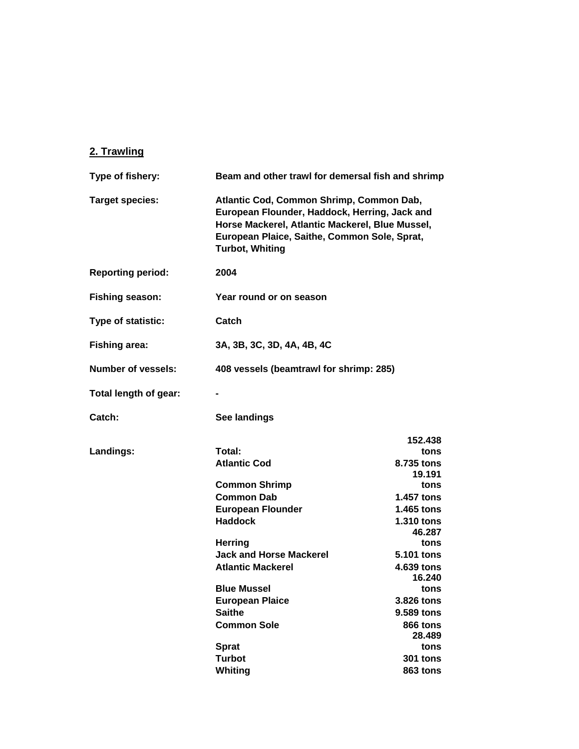## **2. Trawling**

| Type of fishery:         | Beam and other trawl for demersal fish and shrimp                                                                                                                                                                      |                                         |  |  |  |
|--------------------------|------------------------------------------------------------------------------------------------------------------------------------------------------------------------------------------------------------------------|-----------------------------------------|--|--|--|
| <b>Target species:</b>   | Atlantic Cod, Common Shrimp, Common Dab,<br>European Flounder, Haddock, Herring, Jack and<br>Horse Mackerel, Atlantic Mackerel, Blue Mussel,<br>European Plaice, Saithe, Common Sole, Sprat,<br><b>Turbot, Whiting</b> |                                         |  |  |  |
| <b>Reporting period:</b> | 2004                                                                                                                                                                                                                   |                                         |  |  |  |
| <b>Fishing season:</b>   | Year round or on season                                                                                                                                                                                                |                                         |  |  |  |
| Type of statistic:       | Catch                                                                                                                                                                                                                  |                                         |  |  |  |
| <b>Fishing area:</b>     | 3A, 3B, 3C, 3D, 4A, 4B, 4C                                                                                                                                                                                             |                                         |  |  |  |
| Number of vessels:       |                                                                                                                                                                                                                        | 408 vessels (beamtrawl for shrimp: 285) |  |  |  |
| Total length of gear:    |                                                                                                                                                                                                                        |                                         |  |  |  |
| Catch:                   | See landings                                                                                                                                                                                                           |                                         |  |  |  |
|                          |                                                                                                                                                                                                                        | 152.438                                 |  |  |  |
| Landings:                | Total:<br><b>Atlantic Cod</b>                                                                                                                                                                                          | tons<br>8.735 tons<br>19.191            |  |  |  |
|                          | <b>Common Shrimp</b>                                                                                                                                                                                                   | tons                                    |  |  |  |
|                          | <b>Common Dab</b>                                                                                                                                                                                                      | 1.457 tons                              |  |  |  |
|                          | <b>European Flounder</b>                                                                                                                                                                                               | 1.465 tons                              |  |  |  |
|                          | <b>Haddock</b>                                                                                                                                                                                                         | 1.310 tons<br>46.287                    |  |  |  |
|                          | <b>Herring</b>                                                                                                                                                                                                         | tons                                    |  |  |  |
|                          | <b>Jack and Horse Mackerel</b>                                                                                                                                                                                         | 5.101 tons                              |  |  |  |
|                          | <b>Atlantic Mackerel</b>                                                                                                                                                                                               | 4.639 tons                              |  |  |  |
|                          | <b>Blue Mussel</b>                                                                                                                                                                                                     | 16.240<br>tons                          |  |  |  |
|                          | <b>European Plaice</b>                                                                                                                                                                                                 | 3.826 tons                              |  |  |  |
|                          | <b>Saithe</b>                                                                                                                                                                                                          | 9.589 tons                              |  |  |  |
|                          | <b>Common Sole</b>                                                                                                                                                                                                     | 866 tons                                |  |  |  |
|                          |                                                                                                                                                                                                                        | 28.489                                  |  |  |  |
|                          | <b>Sprat</b>                                                                                                                                                                                                           | tons                                    |  |  |  |
|                          | <b>Turbot</b>                                                                                                                                                                                                          | <b>301 tons</b>                         |  |  |  |
|                          | Whiting                                                                                                                                                                                                                | 863 tons                                |  |  |  |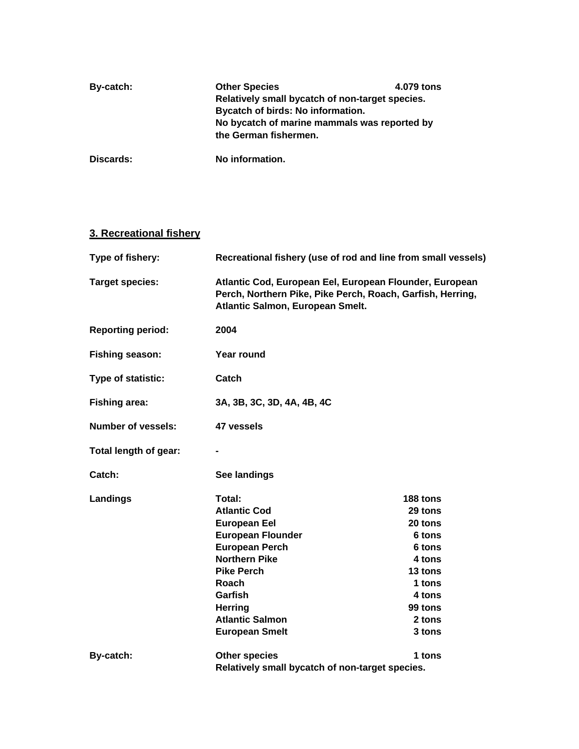| By-catch: | <b>Other Species</b><br>Relatively small bycatch of non-target species.<br>Bycatch of birds: No information.<br>No bycatch of marine mammals was reported by<br>the German fishermen. | 4.079 tons |
|-----------|---------------------------------------------------------------------------------------------------------------------------------------------------------------------------------------|------------|
| Discards: | No information.                                                                                                                                                                       |            |

## **3. Recreational fishery**

| Type of fishery:          | Recreational fishery (use of rod and line from small vessels)                                                                                             |               |  |  |  |  |
|---------------------------|-----------------------------------------------------------------------------------------------------------------------------------------------------------|---------------|--|--|--|--|
| <b>Target species:</b>    | Atlantic Cod, European Eel, European Flounder, European<br>Perch, Northern Pike, Pike Perch, Roach, Garfish, Herring,<br>Atlantic Salmon, European Smelt. |               |  |  |  |  |
| <b>Reporting period:</b>  | 2004                                                                                                                                                      |               |  |  |  |  |
| Fishing season:           | Year round                                                                                                                                                |               |  |  |  |  |
| Type of statistic:        | Catch                                                                                                                                                     |               |  |  |  |  |
| <b>Fishing area:</b>      | 3A, 3B, 3C, 3D, 4A, 4B, 4C                                                                                                                                |               |  |  |  |  |
| <b>Number of vessels:</b> | 47 vessels                                                                                                                                                |               |  |  |  |  |
| Total length of gear:     |                                                                                                                                                           |               |  |  |  |  |
| Catch:                    | See landings                                                                                                                                              |               |  |  |  |  |
| Landings                  | Total:                                                                                                                                                    | 188 tons      |  |  |  |  |
|                           | <b>Atlantic Cod</b>                                                                                                                                       | 29 tons       |  |  |  |  |
|                           | <b>European Eel</b>                                                                                                                                       | 20 tons       |  |  |  |  |
|                           | <b>European Flounder</b>                                                                                                                                  | 6 tons        |  |  |  |  |
|                           | <b>European Perch</b>                                                                                                                                     | <b>6 tons</b> |  |  |  |  |
|                           | <b>Northern Pike</b>                                                                                                                                      | 4 tons        |  |  |  |  |
|                           | <b>Pike Perch</b>                                                                                                                                         | 13 tons       |  |  |  |  |
|                           | Roach                                                                                                                                                     | 1 tons        |  |  |  |  |
|                           | Garfish                                                                                                                                                   | 4 tons        |  |  |  |  |
|                           | <b>Herring</b>                                                                                                                                            | 99 tons       |  |  |  |  |
|                           | <b>Atlantic Salmon</b>                                                                                                                                    | 2 tons        |  |  |  |  |
|                           | <b>European Smelt</b>                                                                                                                                     | 3 tons        |  |  |  |  |
| By-catch:                 | <b>Other species</b>                                                                                                                                      | 1 tons        |  |  |  |  |
|                           | Relatively small bycatch of non-target species.                                                                                                           |               |  |  |  |  |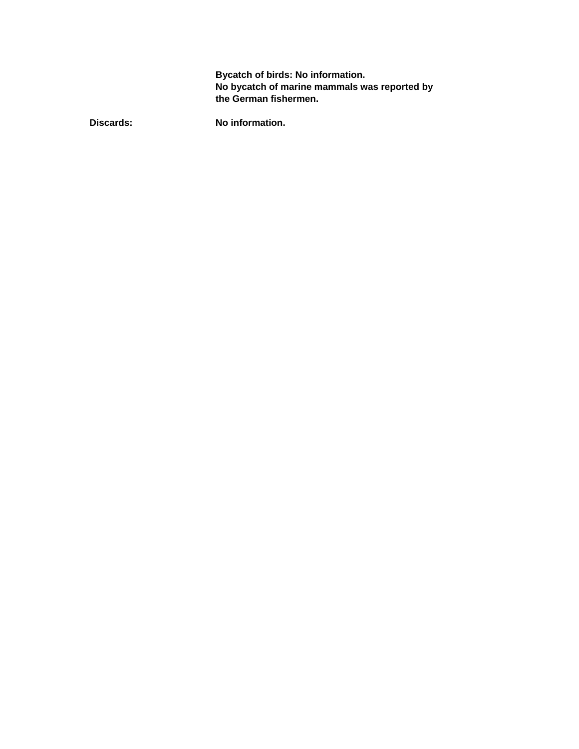**Bycatch of birds: No information. No bycatch of marine mammals was reported by the German fishermen.** 

Discards: No information.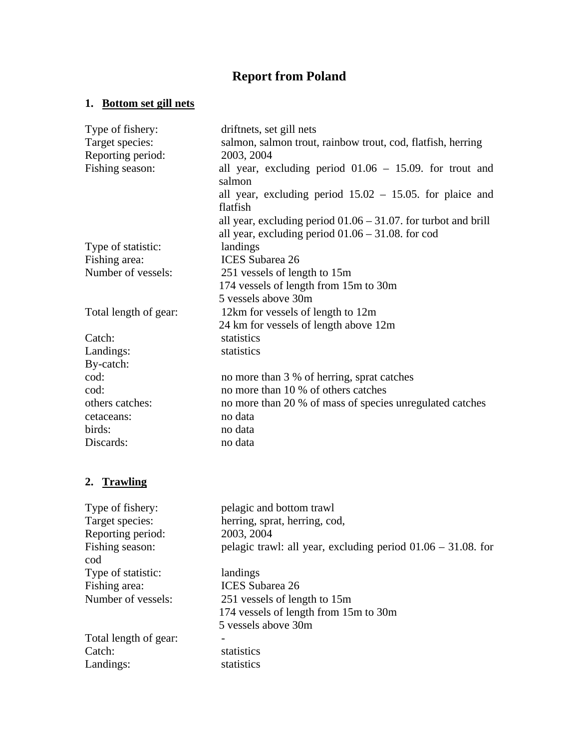# **Report from Poland**

# **1. Bottom set gill nets**

| Type of fishery:      | driftnets, set gill nets                                                                                                  |  |  |  |  |  |
|-----------------------|---------------------------------------------------------------------------------------------------------------------------|--|--|--|--|--|
| Target species:       | salmon, salmon trout, rainbow trout, cod, flatfish, herring                                                               |  |  |  |  |  |
| Reporting period:     | 2003, 2004                                                                                                                |  |  |  |  |  |
| Fishing season:       | all year, excluding period $01.06 - 15.09$ . for trout and<br>salmon                                                      |  |  |  |  |  |
|                       | all year, excluding period $15.02 - 15.05$ . for plaice and                                                               |  |  |  |  |  |
|                       | flatfish                                                                                                                  |  |  |  |  |  |
|                       | all year, excluding period $01.06 - 31.07$ . for turbot and brill<br>all year, excluding period $01.06 - 31.08$ . for cod |  |  |  |  |  |
| Type of statistic:    | landings                                                                                                                  |  |  |  |  |  |
| Fishing area:         | <b>ICES</b> Subarea 26                                                                                                    |  |  |  |  |  |
| Number of vessels:    | 251 vessels of length to 15m                                                                                              |  |  |  |  |  |
|                       | 174 vessels of length from 15m to 30m                                                                                     |  |  |  |  |  |
|                       | 5 vessels above 30m                                                                                                       |  |  |  |  |  |
| Total length of gear: | 12km for vessels of length to 12m                                                                                         |  |  |  |  |  |
|                       | 24 km for vessels of length above 12m                                                                                     |  |  |  |  |  |
| Catch:                | statistics                                                                                                                |  |  |  |  |  |
| Landings:             | statistics                                                                                                                |  |  |  |  |  |
| By-catch:             |                                                                                                                           |  |  |  |  |  |
| cod:                  | no more than 3 % of herring, sprat catches                                                                                |  |  |  |  |  |
| cod:                  | no more than 10 % of others catches                                                                                       |  |  |  |  |  |
| others catches:       | no more than 20 % of mass of species unregulated catches                                                                  |  |  |  |  |  |
| cetaceans:            | no data                                                                                                                   |  |  |  |  |  |
| birds:                | no data                                                                                                                   |  |  |  |  |  |
| Discards:             | no data                                                                                                                   |  |  |  |  |  |
| 2. Trawling           |                                                                                                                           |  |  |  |  |  |
| Type of fishery:      | pelagic and bottom trawl                                                                                                  |  |  |  |  |  |
| Target species:       | herring, sprat, herring, cod,                                                                                             |  |  |  |  |  |
| Reporting period:     | 2003, 2004                                                                                                                |  |  |  |  |  |
| Fishing season:       | pelagic trawl: all year, excluding period $01.06 - 31.08$ . for                                                           |  |  |  |  |  |
| cod                   |                                                                                                                           |  |  |  |  |  |
| Type of statistic:    | landings                                                                                                                  |  |  |  |  |  |
| Fishing area:         | <b>ICES</b> Subarea 26                                                                                                    |  |  |  |  |  |
| Number of vessels:    | 251 vessels of length to 15m                                                                                              |  |  |  |  |  |
|                       | 174 vessels of length from 15m to 30m                                                                                     |  |  |  |  |  |
|                       | 5 vessels above 30m                                                                                                       |  |  |  |  |  |
| Total length of gear: |                                                                                                                           |  |  |  |  |  |
| Catch:                | statistics                                                                                                                |  |  |  |  |  |

Landings: statistics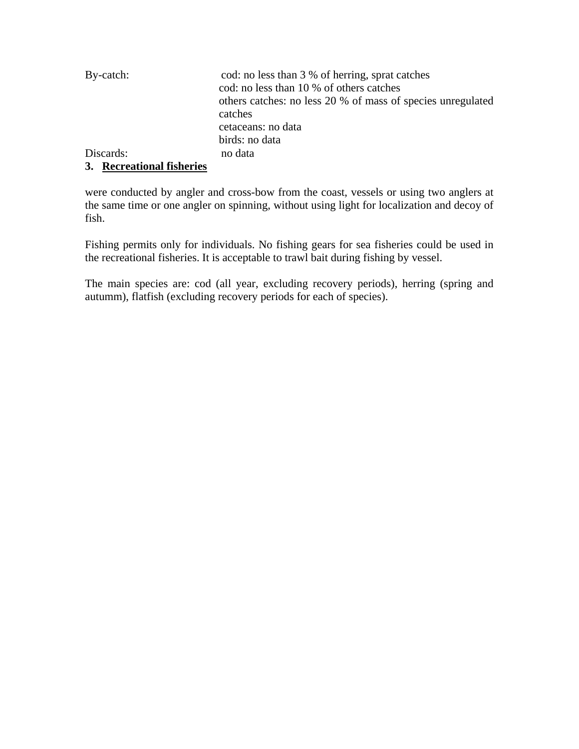| By-catch: | cod: no less than 3 % of herring, sprat catches             |
|-----------|-------------------------------------------------------------|
|           | cod: no less than 10 % of others catches                    |
|           | others catches: no less 20 % of mass of species unregulated |
|           | catches                                                     |
|           | cetaceans: no data                                          |
|           | birds: no data                                              |
| Discards: | no data                                                     |
|           |                                                             |

## **3. Recreational fisheries**

were conducted by angler and cross-bow from the coast, vessels or using two anglers at the same time or one angler on spinning, without using light for localization and decoy of fish.

Fishing permits only for individuals. No fishing gears for sea fisheries could be used in the recreational fisheries. It is acceptable to trawl bait during fishing by vessel.

The main species are: cod (all year, excluding recovery periods), herring (spring and autumm), flatfish (excluding recovery periods for each of species).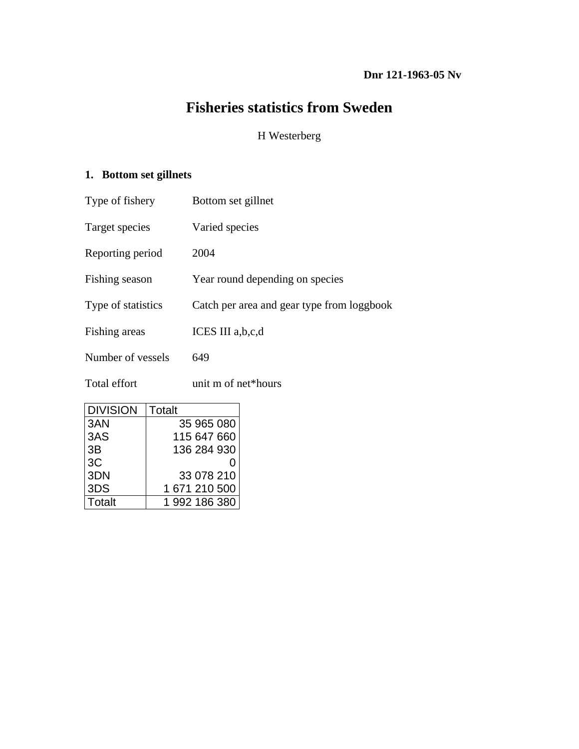# **Fisheries statistics from Sweden**

## H Westerberg

# **1. Bottom set gillnets**

| Type of fishery    | Bottom set gillnet                         |
|--------------------|--------------------------------------------|
| Target species     | Varied species                             |
| Reporting period   | 2004                                       |
| Fishing season     | Year round depending on species            |
| Type of statistics | Catch per area and gear type from loggbook |
| Fishing areas      | ICES III a,b,c,d                           |
| Number of vessels  | 649                                        |
| Total effort       | unit m of net*hours                        |

| <b>DIVISION</b> | <b>Totalt</b> |
|-----------------|---------------|
| 3AN             | 35 965 080    |
| 3AS             | 115 647 660   |
| 3B              | 136 284 930   |
| 3C              |               |
| 3DN             | 33 078 210    |
| 3DS             | 1 671 210 500 |
| Totalt          | 1992 186 380  |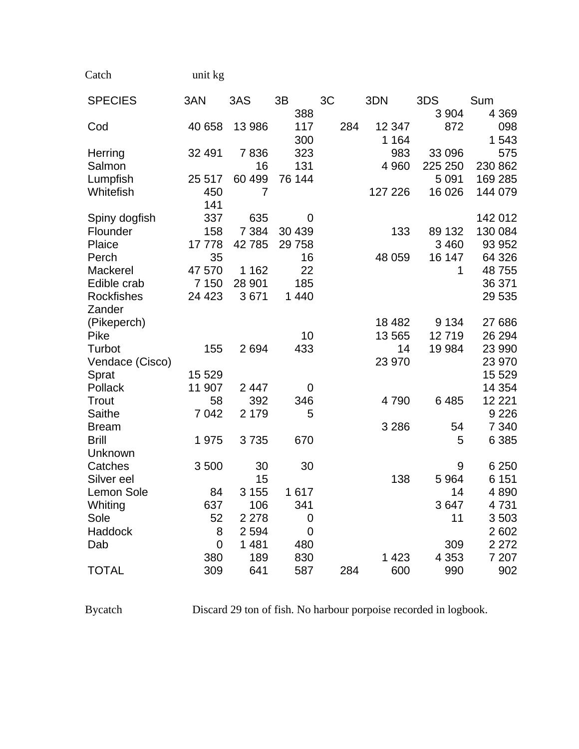| unit kg |
|---------|
|         |

| <b>SPECIES</b>    | 3AN            | 3AS     | 3B      | 3C  | 3DN     | 3DS     | Sum      |
|-------------------|----------------|---------|---------|-----|---------|---------|----------|
|                   |                |         | 388     |     |         | 3 9 0 4 | 4 3 6 9  |
| Cod               | 40 658         | 13 986  | 117     | 284 | 12 347  | 872     | 098      |
|                   |                |         | 300     |     | 1 1 6 4 |         | 1 543    |
| Herring           | 32 491         | 7836    | 323     |     | 983     | 33 096  | 575      |
| Salmon            |                | 16      | 131     |     | 4 9 6 0 | 225 250 | 230 862  |
| Lumpfish          | 25 517         | 60 499  | 76 144  |     |         | 5 0 9 1 | 169 285  |
| Whitefish         | 450            | 7       |         |     | 127 226 | 16 0 26 | 144 079  |
|                   | 141            |         |         |     |         |         |          |
| Spiny dogfish     | 337            | 635     | 0       |     |         |         | 142 012  |
| Flounder          | 158            | 7 3 8 4 | 30 439  |     | 133     | 89 132  | 130 084  |
| Plaice            | 17778          | 42785   | 29 7 58 |     |         | 3 4 6 0 | 93 952   |
| Perch             | 35             |         | 16      |     | 48 059  | 16 147  | 64 326   |
| Mackerel          | 47 570         | 1 1 6 2 | 22      |     |         | 1       | 48755    |
| Edible crab       | 7 1 5 0        | 28 901  | 185     |     |         |         | 36 371   |
| <b>Rockfishes</b> | 24 4 23        | 3671    | 1 4 4 0 |     |         |         | 29 535   |
| Zander            |                |         |         |     |         |         |          |
| (Pikeperch)       |                |         |         |     | 18 4 82 | 9 1 3 4 | 27 686   |
| Pike              |                |         | 10      |     | 13 565  | 12719   | 26 294   |
| Turbot            | 155            | 2694    | 433     |     | 14      | 19 984  | 23 990   |
| Vendace (Cisco)   |                |         |         |     | 23 970  |         | 23 970   |
| Sprat             | 15 5 29        |         |         |     |         |         | 15 5 29  |
| Pollack           | 11 907         | 2 4 4 7 | 0       |     |         |         | 14 3 54  |
| Trout             | 58             | 392     | 346     |     | 4790    | 6485    | 12 2 2 1 |
| Saithe            | 7 0 4 2        | 2 1 7 9 | 5       |     |         |         | 9 2 2 6  |
| <b>Bream</b>      |                |         |         |     | 3 2 8 6 | 54      | 7 3 4 0  |
| <b>Brill</b>      | 1975           | 3735    | 670     |     |         | 5       | 6 3 8 5  |
| Unknown           |                |         |         |     |         |         |          |
| Catches           | 3500           | 30      | 30      |     |         | 9       | 6 2 5 0  |
| Silver eel        |                | 15      |         |     | 138     | 5 9 64  | 6 1 5 1  |
| Lemon Sole        | 84             | 3 1 5 5 | 1617    |     |         | 14      | 4890     |
| Whiting           | 637            | 106     | 341     |     |         | 3647    | 4731     |
| Sole              | 52             | 2 2 7 8 | 0       |     |         | 11      | 3503     |
| Haddock           | 8              | 2 5 9 4 | 0       |     |         |         | 2602     |
| Dab               | $\overline{0}$ | 1 4 8 1 | 480     |     |         | 309     | 2 2 7 2  |
|                   | 380            | 189     | 830     |     | 1 4 2 3 | 4 3 5 3 | 7 207    |
| <b>TOTAL</b>      | 309            | 641     | 587     | 284 | 600     | 990     | 902      |
|                   |                |         |         |     |         |         |          |

Bycatch Discard 29 ton of fish. No harbour porpoise recorded in logbook.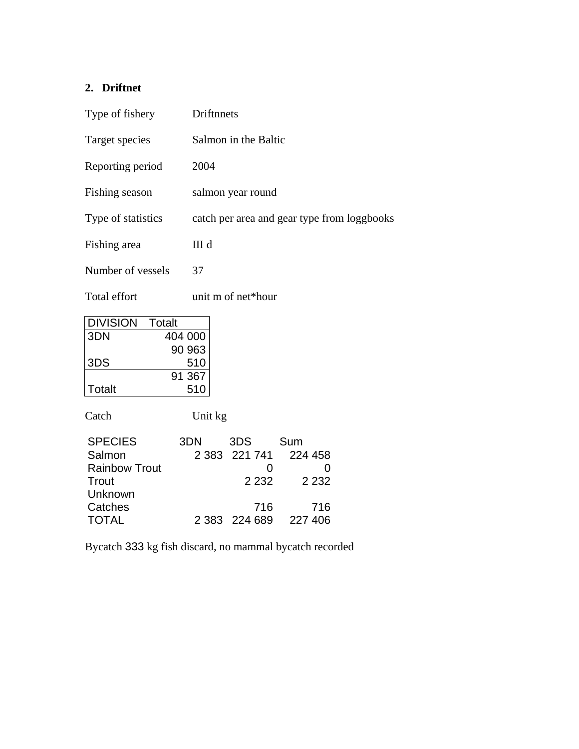# **2. Driftnet**

| Type of fishery    | Driftnnets                                  |
|--------------------|---------------------------------------------|
| Target species     | Salmon in the Baltic                        |
| Reporting period   | 2004                                        |
| Fishing season     | salmon year round                           |
| Type of statistics | catch per area and gear type from loggbooks |
| Fishing area       | III d                                       |
| Number of vessels  | 37                                          |
|                    |                                             |

Total effort unit m of net\*hour

| <b>DIVISION</b> | Totalt  |
|-----------------|---------|
| 3DN             | 404 000 |
|                 | 90 963  |
| 3DS             | 510     |
|                 | 91 367  |
| Totalt          | 510     |

Catch Unit kg

| 3DN | 3DS     | Sum                                    |
|-----|---------|----------------------------------------|
|     |         |                                        |
|     |         |                                        |
|     | 2 2 3 2 | 2 2 3 2                                |
|     |         |                                        |
|     | 716     | 716                                    |
|     |         | 227 406                                |
|     |         | 2 383 221 741 224 458<br>2 383 224 689 |

Bycatch 333 kg fish discard, no mammal bycatch recorded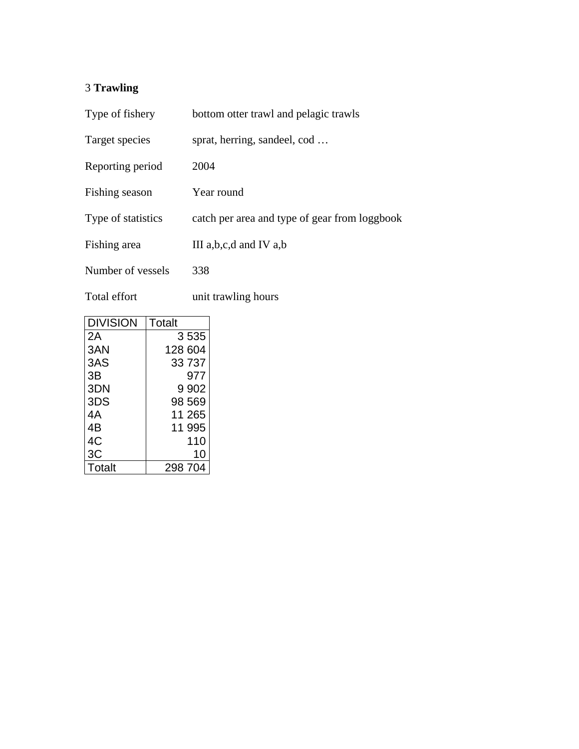# 3 **Trawling**

| Type of fishery    | bottom otter trawl and pelagic trawls         |  |
|--------------------|-----------------------------------------------|--|
| Target species     | sprat, herring, sandeel, cod                  |  |
| Reporting period   | 2004                                          |  |
| Fishing season     | Year round                                    |  |
| Type of statistics | catch per area and type of gear from loggbook |  |
| Fishing area       | III $a,b,c,d$ and IV $a,b$                    |  |
| Number of vessels  | 338                                           |  |

Total effort unit trawling hours

| <b>DIVISION</b> | Totalt  |
|-----------------|---------|
| 2Α              | 3535    |
| 3AN             | 128 604 |
| 3AS             | 33737   |
| 3B              | 977     |
| 3DN             | 9 9 0 2 |
| 3DS             | 98 569  |
| 4А              | 11 265  |
| 4B              | 11 995  |
| 4C              | 110     |
| ЗC              | 10      |
| Totalt          | 298 704 |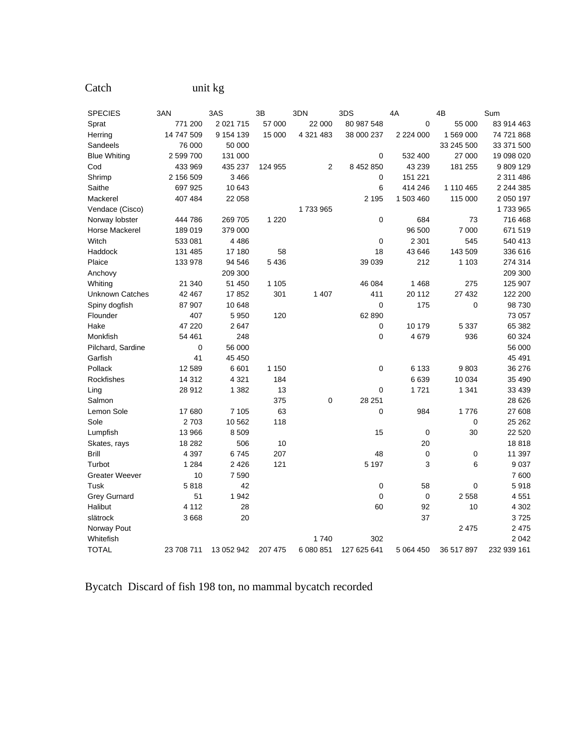| <b>SPECIES</b>        | 3AN        | 3AS         | 3B      | 3DN       | 3DS         | 4A            | 4B         | Sum         |
|-----------------------|------------|-------------|---------|-----------|-------------|---------------|------------|-------------|
| Sprat                 | 771 200    | 2 0 21 7 15 | 57 000  | 22 000    | 80 987 548  | 0             | 55 000     | 83 914 463  |
| Herring               | 14 747 509 | 9 154 139   | 15 000  | 4 321 483 | 38 000 237  | 2 2 2 4 0 0 0 | 1 569 000  | 74 721 868  |
| Sandeels              | 76 000     | 50 000      |         |           |             |               | 33 245 500 | 33 371 500  |
| <b>Blue Whiting</b>   | 2 599 700  | 131 000     |         |           | 0           | 532 400       | 27 000     | 19 098 020  |
| Cod                   | 433 969    | 435 237     | 124 955 | 2         | 8 452 850   | 43 239        | 181 255    | 9 809 129   |
| Shrimp                | 2 156 509  | 3466        |         |           | 0           | 151 221       |            | 2 311 486   |
| Saithe                | 697 925    | 10 643      |         |           | 6           | 414 246       | 1 110 465  | 2 244 385   |
| Mackerel              | 407 484    | 22 058      |         |           | 2 1 9 5     | 1 503 460     | 115 000    | 2 050 197   |
| Vendace (Cisco)       |            |             |         | 1733965   |             |               |            | 1733965     |
| Norway lobster        | 444 786    | 269 705     | 1 2 2 0 |           | $\mathbf 0$ | 684           | 73         | 716 468     |
| Horse Mackerel        | 189 019    | 379 000     |         |           |             | 96 500        | 7 000      | 671 519     |
| Witch                 | 533 081    | 4486        |         |           | $\mathbf 0$ | 2 3 0 1       | 545        | 540 413     |
| Haddock               | 131 485    | 17 180      | 58      |           | 18          | 43 646        | 143 509    | 336 616     |
| Plaice                | 133 978    | 94 546      | 5 4 3 6 |           | 39 039      | 212           | 1 1 0 3    | 274 314     |
| Anchovy               |            | 209 300     |         |           |             |               |            | 209 300     |
| Whiting               | 21 340     | 51 450      | 1 1 0 5 |           | 46 084      | 1468          | 275        | 125 907     |
| Unknown Catches       | 42 467     | 17852       | 301     | 1 407     | 411         | 20 112        | 27 432     | 122 200     |
| Spiny dogfish         | 87 907     | 10 648      |         |           | $\mathbf 0$ | 175           | 0          | 98 730      |
| Flounder              | 407        | 5 9 5 0     | 120     |           | 62 890      |               |            | 73 057      |
| Hake                  | 47 220     | 2647        |         |           | 0           | 10 179        | 5 3 3 7    | 65 382      |
| Monkfish              | 54 461     | 248         |         |           | 0           | 4679          | 936        | 60 324      |
| Pilchard, Sardine     | 0          | 56 000      |         |           |             |               |            | 56 000      |
| Garfish               | 41         | 45 450      |         |           |             |               |            | 45 491      |
| Pollack               | 12 589     | 6601        | 1 1 5 0 |           | $\mathbf 0$ | 6 1 3 3       | 9803       | 36 276      |
| Rockfishes            | 14 3 12    | 4 3 2 1     | 184     |           |             | 6639          | 10 0 34    | 35 490      |
| Ling                  | 28 912     | 1 3 8 2     | 13      |           | $\mathbf 0$ | 1721          | 1 341      | 33 439      |
| Salmon                |            |             | 375     | 0         | 28 251      |               |            | 28 6 26     |
| Lemon Sole            | 17680      | 7 1 0 5     | 63      |           | $\mathbf 0$ | 984           | 1776       | 27 608      |
| Sole                  | 2 7 0 3    | 10 562      | 118     |           |             |               | 0          | 25 26 2     |
| Lumpfish              | 13 966     | 8509        |         |           | 15          | 0             | 30         | 22 5 20     |
| Skates, rays          | 18 28 2    | 506         | 10      |           |             | 20            |            | 18818       |
| <b>Brill</b>          | 4 3 9 7    | 6745        | 207     |           | 48          | 0             | 0          | 11 397      |
| Turbot                | 1 2 8 4    | 2 4 2 6     | 121     |           | 5 1 9 7     | 3             | 6          | 9037        |
| <b>Greater Weever</b> | 10         | 7 5 9 0     |         |           |             |               |            | 7600        |
| Tusk                  | 5818       | 42          |         |           | 0           | 58            | 0          | 5918        |
| <b>Grey Gurnard</b>   | 51         | 1942        |         |           | $\mathbf 0$ | $\mathbf 0$   | 2558       | 4551        |
| Halibut               | 4 1 1 2    | 28          |         |           | 60          | 92            | 10         | 4 3 0 2     |
| slätrock              | 3668       | 20          |         |           |             | 37            |            | 3725        |
| Norway Pout           |            |             |         |           |             |               | 2 4 7 5    | 2 4 7 5     |
| Whitefish             |            |             |         | 1740      | 302         |               |            | 2042        |
| <b>TOTAL</b>          | 23 708 711 | 13 052 942  | 207 475 | 6 080 851 | 127 625 641 | 5 064 450     | 36 517 897 | 232 939 161 |

Bycatch Discard of fish 198 ton, no mammal bycatch recorded

Catch unit kg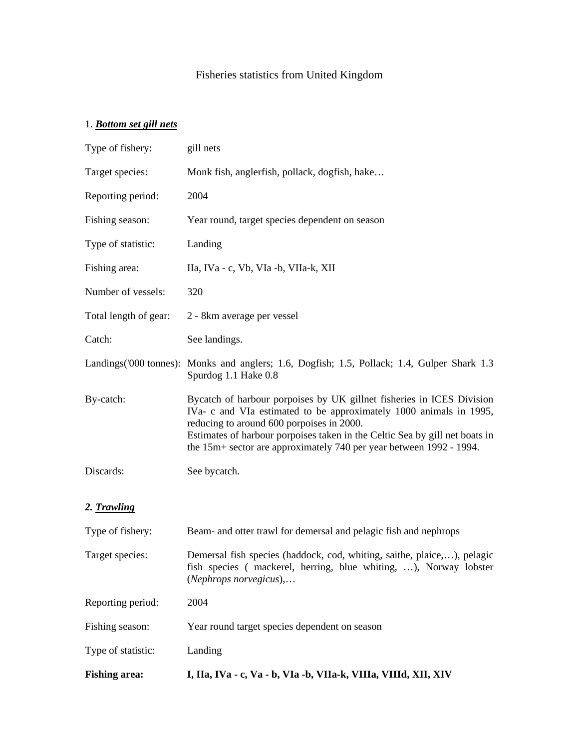# Fisheries statistics from United Kingdom

## 1. *Bottom set gill nets*

| <b>Fishing area:</b>  | I, IIa, IVa - c, Va - b, VIa -b, VIIa-k, VIIIa, VIIId, XII, XIV                                                                                                                                                                                                                                                                                |
|-----------------------|------------------------------------------------------------------------------------------------------------------------------------------------------------------------------------------------------------------------------------------------------------------------------------------------------------------------------------------------|
| Type of statistic:    | Landing                                                                                                                                                                                                                                                                                                                                        |
| Fishing season:       | Year round target species dependent on season                                                                                                                                                                                                                                                                                                  |
| Reporting period:     | 2004                                                                                                                                                                                                                                                                                                                                           |
| Target species:       | Demersal fish species (haddock, cod, whiting, saithe, plaice,), pelagic<br>fish species (mackerel, herring, blue whiting, ), Norway lobster<br>$(Nephrops$ norvegicus),                                                                                                                                                                        |
| Type of fishery:      | Beam- and otter trawl for demersal and pelagic fish and nephrops                                                                                                                                                                                                                                                                               |
| 2. Trawling           |                                                                                                                                                                                                                                                                                                                                                |
| Discards:             | See bycatch.                                                                                                                                                                                                                                                                                                                                   |
| By-catch:             | Bycatch of harbour porpoises by UK gillnet fisheries in ICES Division<br>IVa- c and VIa estimated to be approximately 1000 animals in 1995,<br>reducing to around 600 porpoises in 2000.<br>Estimates of harbour porpoises taken in the Celtic Sea by gill net boats in<br>the 15m+ sector are approximately 740 per year between 1992 - 1994. |
|                       | Landings ('000 tonnes): Monks and anglers; 1.6, Dogfish; 1.5, Pollack; 1.4, Gulper Shark 1.3<br>Spurdog 1.1 Hake 0.8                                                                                                                                                                                                                           |
| Catch:                | See landings.                                                                                                                                                                                                                                                                                                                                  |
| Total length of gear: | 2 - 8km average per vessel                                                                                                                                                                                                                                                                                                                     |
| Number of vessels:    | 320                                                                                                                                                                                                                                                                                                                                            |
| Fishing area:         | IIa, IVa - c, Vb, VIa -b, VIIa-k, XII                                                                                                                                                                                                                                                                                                          |
| Type of statistic:    | Landing                                                                                                                                                                                                                                                                                                                                        |
| Fishing season:       | Year round, target species dependent on season                                                                                                                                                                                                                                                                                                 |
| Reporting period:     | 2004                                                                                                                                                                                                                                                                                                                                           |
| Target species:       | Monk fish, anglerfish, pollack, dogfish, hake                                                                                                                                                                                                                                                                                                  |
| Type of fishery:      | gill nets                                                                                                                                                                                                                                                                                                                                      |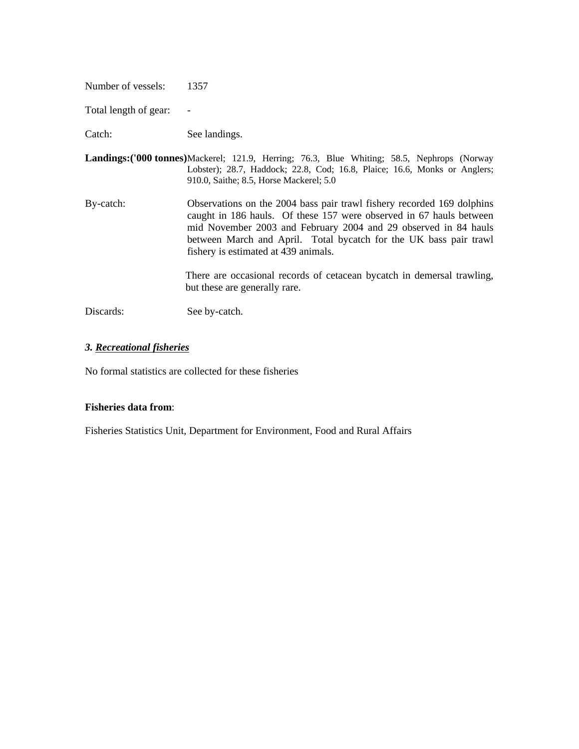Number of vessels: 1357

Total length of gear: -

Catch: See landings.

- **Landings:('000 tonnes)** Mackerel; 121.9, Herring; 76.3, Blue Whiting; 58.5, Nephrops (Norway Lobster); 28.7, Haddock; 22.8, Cod; 16.8, Plaice; 16.6, Monks or Anglers; 910.0, Saithe; 8.5, Horse Mackerel; 5.0
- By-catch: Observations on the 2004 bass pair trawl fishery recorded 169 dolphins caught in 186 hauls. Of these 157 were observed in 67 hauls between mid November 2003 and February 2004 and 29 observed in 84 hauls between March and April. Total bycatch for the UK bass pair trawl fishery is estimated at 439 animals.

There are occasional records of cetacean bycatch in demersal trawling, but these are generally rare.

Discards: See by-catch.

#### *3. Recreational fisheries*

No formal statistics are collected for these fisheries

#### **Fisheries data from**:

Fisheries Statistics Unit, Department for Environment, Food and Rural Affairs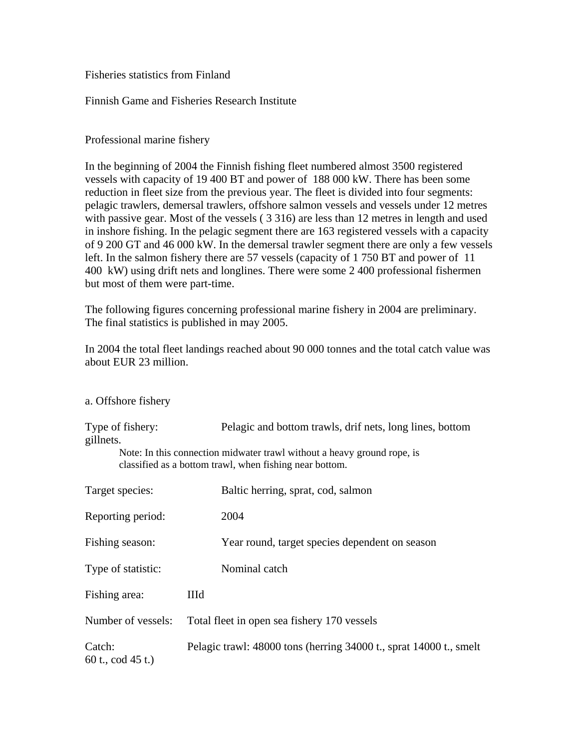### Fisheries statistics from Finland

### Finnish Game and Fisheries Research Institute

### Professional marine fishery

In the beginning of 2004 the Finnish fishing fleet numbered almost 3500 registered vessels with capacity of 19 400 BT and power of 188 000 kW. There has been some reduction in fleet size from the previous year. The fleet is divided into four segments: pelagic trawlers, demersal trawlers, offshore salmon vessels and vessels under 12 metres with passive gear. Most of the vessels ( 3 316) are less than 12 metres in length and used in inshore fishing. In the pelagic segment there are 163 registered vessels with a capacity of 9 200 GT and 46 000 kW. In the demersal trawler segment there are only a few vessels left. In the salmon fishery there are 57 vessels (capacity of 1 750 BT and power of 11 400 kW) using drift nets and longlines. There were some 2 400 professional fishermen but most of them were part-time.

The following figures concerning professional marine fishery in 2004 are preliminary. The final statistics is published in may 2005.

In 2004 the total fleet landings reached about 90 000 tonnes and the total catch value was about EUR 23 million.

| a. Offshore fishery |  |
|---------------------|--|
|                     |  |

| Type of fishery:<br>gillnets. | Pelagic and bottom trawls, drif nets, long lines, bottom                                                                           |  |  |
|-------------------------------|------------------------------------------------------------------------------------------------------------------------------------|--|--|
|                               | Note: In this connection midwater trawl without a heavy ground rope, is<br>classified as a bottom trawl, when fishing near bottom. |  |  |
| Target species:               | Baltic herring, sprat, cod, salmon                                                                                                 |  |  |
| Reporting period:             | 2004                                                                                                                               |  |  |
| Fishing season:               | Year round, target species dependent on season                                                                                     |  |  |
| Type of statistic:            | Nominal catch                                                                                                                      |  |  |
| Fishing area:                 | IIId                                                                                                                               |  |  |
| Number of vessels:            | Total fleet in open sea fishery 170 vessels                                                                                        |  |  |
| Catch:<br>60 t., cod $45$ t.) | Pelagic trawl: 48000 tons (herring 34000 t., sprat 14000 t., smelt                                                                 |  |  |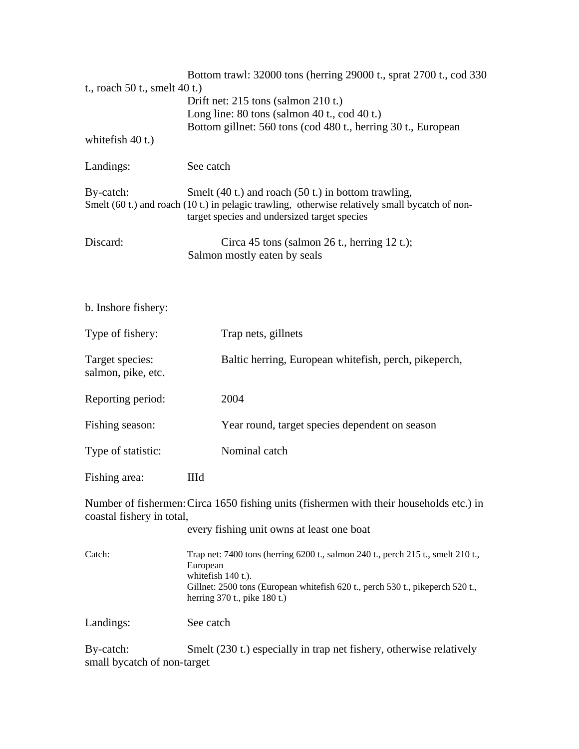| t., roach 50 t., smelt 40 t.)<br>white fish 40 t.)                                                              | Bottom trawl: 32000 tons (herring 29000 t., sprat 2700 t., cod 330<br>Drift net: $215$ tons (salmon $210$ t.)<br>Long line: $80 \text{ tons}$ (salmon $40 \text{ t}$ ., cod $40 \text{ t}$ .)<br>Bottom gillnet: 560 tons (cod 480 t., herring 30 t., European |  |
|-----------------------------------------------------------------------------------------------------------------|----------------------------------------------------------------------------------------------------------------------------------------------------------------------------------------------------------------------------------------------------------------|--|
| Landings:                                                                                                       | See catch                                                                                                                                                                                                                                                      |  |
| By-catch:                                                                                                       | Smelt $(40 t.)$ and roach $(50 t.)$ in bottom trawling,<br>Smelt (60 t.) and roach (10 t.) in pelagic trawling, otherwise relatively small bycatch of non-<br>target species and undersized target species                                                     |  |
| Discard:                                                                                                        | Circa 45 tons (salmon 26 t., herring 12 t.);<br>Salmon mostly eaten by seals                                                                                                                                                                                   |  |
| b. Inshore fishery:                                                                                             |                                                                                                                                                                                                                                                                |  |
| Type of fishery:                                                                                                | Trap nets, gillnets                                                                                                                                                                                                                                            |  |
| Target species:<br>salmon, pike, etc.                                                                           | Baltic herring, European whitefish, perch, pikeperch,                                                                                                                                                                                                          |  |
| Reporting period:                                                                                               | 2004                                                                                                                                                                                                                                                           |  |
| Fishing season:                                                                                                 | Year round, target species dependent on season                                                                                                                                                                                                                 |  |
| Type of statistic:                                                                                              | Nominal catch                                                                                                                                                                                                                                                  |  |
| Fishing area:                                                                                                   | IIId                                                                                                                                                                                                                                                           |  |
| coastal fishery in total,                                                                                       | Number of fishermen: Circa 1650 fishing units (fishermen with their households etc.) in                                                                                                                                                                        |  |
|                                                                                                                 | every fishing unit owns at least one boat                                                                                                                                                                                                                      |  |
| Catch:                                                                                                          | Trap net: 7400 tons (herring 6200 t., salmon 240 t., perch 215 t., smelt 210 t.,<br>European<br>whitefish 140 t.).<br>Gillnet: 2500 tons (European whitefish 620 t., perch 530 t., pikeperch 520 t.,<br>herring 370 t., pike 180 t.)                           |  |
| Landings:                                                                                                       | See catch                                                                                                                                                                                                                                                      |  |
| By-catch:<br>Smelt (230 t.) especially in trap net fishery, otherwise relatively<br>small bycatch of non-target |                                                                                                                                                                                                                                                                |  |